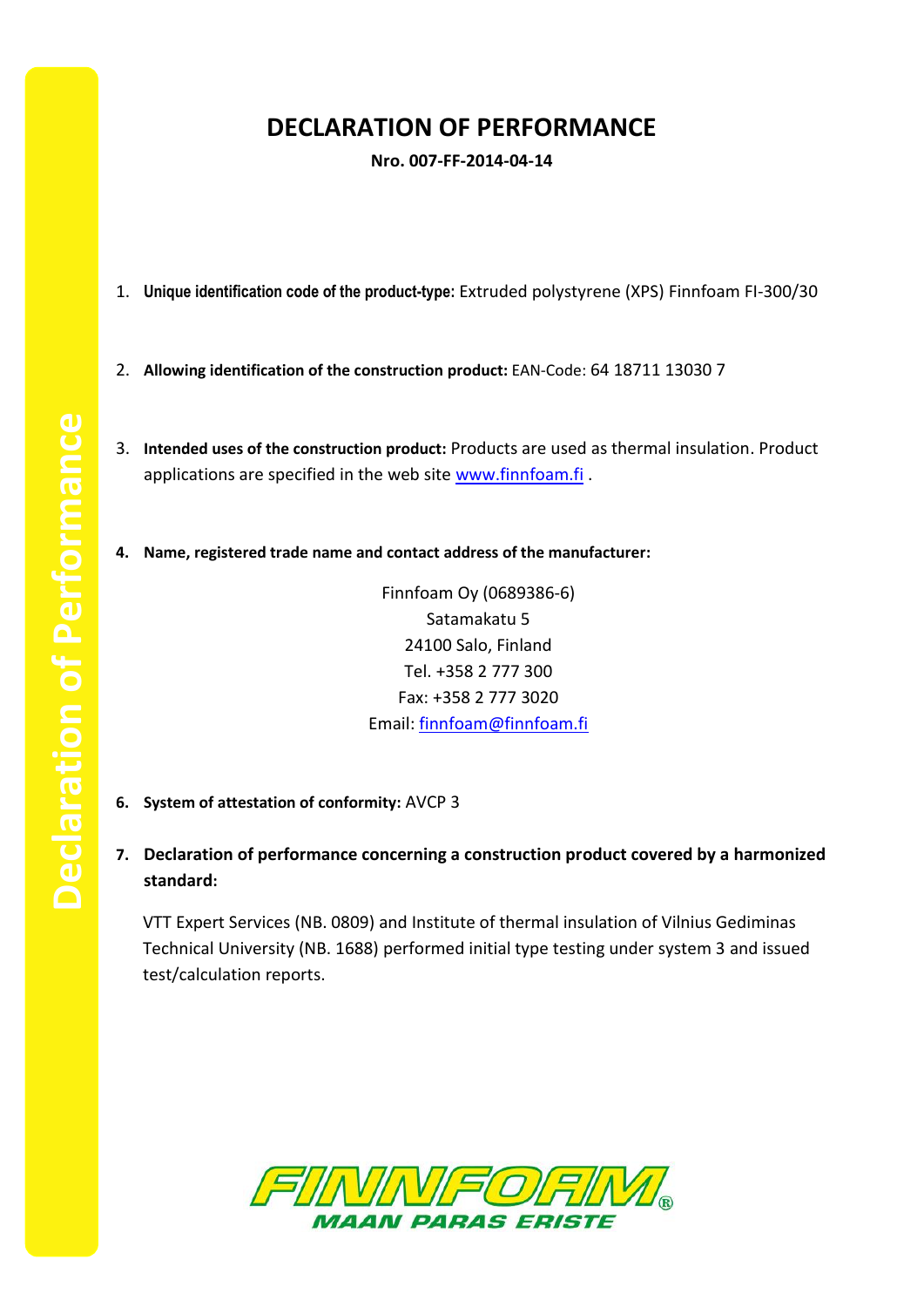## **DECLARATION OF PERFORMANCE**

**Nro. 007-FF-2014-04-14**

- 1. **Unique identification code of the product-type:** Extruded polystyrene (XPS) Finnfoam FI-300/30
- 2. **Allowing identification of the construction product:** EAN-Code: 64 18711 13030 7
- 3. **Intended uses of the construction product:** Products are used as thermal insulation. Product applications are specified in the web site [www.finnfoam.fi](http://www.finnfoam.fi/).
- **4. Name, registered trade name and contact address of the manufacturer:**

Finnfoam Oy (0689386-6) Satamakatu 5 24100 Salo, Finland Tel. +358 2 777 300 Fax: +358 2 777 3020 Email: [finnfoam@finnfoam.fi](mailto:finnfoam@finnfoam.fi)

- **6. System of attestation of conformity:** AVCP 3
- **7. Declaration of performance concerning a construction product covered by a harmonized standard:**

VTT Expert Services (NB. 0809) and Institute of thermal insulation of Vilnius Gediminas Technical University (NB. 1688) performed initial type testing under system 3 and issued test/calculation reports.